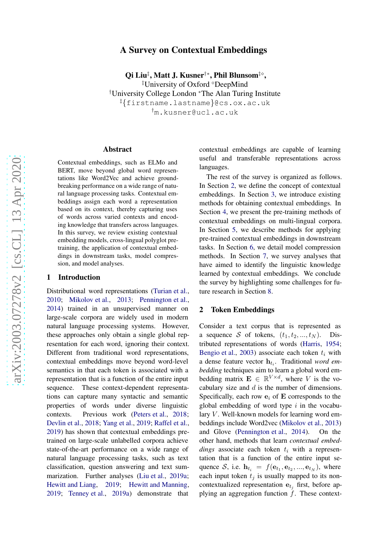# arXiv:2003.07278v2 [cs.CL] 13 Apr 2020 [arXiv:2003.07278v2 \[cs.CL\] 13 Apr 2020](http://arxiv.org/abs/2003.07278v2)

# A Survey on Contextual Embeddings

Qi Liu‡, Matt J. Kusner†\*, Phil Blunsom‡◇,

‡University of Oxford <sup>⋄</sup>DeepMind †University College London <sup>∗</sup>The Alan Turing Institute ‡ {firstname.lastname }@cs.ox.ac.uk †m.kusner@ucl.ac.uk

### Abstract

Contextual embeddings, such as ELMo and BERT, move beyond global word representations like Word2Vec and achieve groundbreaking performance on a wide range of natural language processing tasks. Contextual embeddings assign each word a representation based on its context, thereby capturing uses of words across varied contexts and encoding knowledge that transfers across languages. In this survey, we review existing contextual embedding models, cross-lingual polyglot pretraining, the application of contextual embeddings in downstream tasks, model compression, and model analyses.

### 1 Introduction

Distributional word representations [\(Turian et al.](#page-12-0) , [2010](#page-12-0) ; [Mikolov et al.](#page-11-0) , [2013](#page-11-0) ; [Pennington et al.](#page-11-1) , [2014\)](#page-11-1) trained in an unsupervised manner on large-scale corpora are widely used in modern natural language processing systems. However, these approaches only obtain a single global representation for each word, ignoring their context. Different from traditional word representations, contextual embeddings move beyond word-level semantics in that each token is associated with a representation that is a function of the entire input sequence. These context-dependent representations can capture many syntactic and semantic properties of words under diverse linguistic contexts. Previous work [\(Peters et al.](#page-11-2) , [2018](#page-11-2) ; [Devlin et al.](#page-10-0) , [2018](#page-10-0) ; [Yang et al.](#page-12-1) , [2019](#page-12-1) ; [Raffel et al.](#page-11-3) , [2019\)](#page-11-3) has shown that contextual embeddings pretrained on large-scale unlabelled corpora achieve state-of-the-art performance on a wide range of natural language processing tasks, such as text classification, question answering and text sum-marization. Further analyses [\(Liu et al.,](#page-11-4) [2019a](#page-11-4); [Hewitt and Liang](#page-10-1), [2019](#page-10-1); [Hewitt and Manning](#page-10-2), [2019](#page-10-2) ; [Tenney et al.](#page-12-2) , [2019a](#page-12-2)) demonstrate that

contextual embeddings are capable of learning useful and transferable representations across languages.

The rest of the survey is organized as follows. In Section [2,](#page-0-0) we define the concept of contextual embeddings. In Section [3,](#page-1-0) we introduce existing methods for obtaining contextual embeddings. In Section [4,](#page-5-0) we present the pre-training methods of contextual embeddings on multi-lingual corpora. In Section [5,](#page-6-0) we describe methods for applying pre-trained contextual embeddings in downstream tasks. In Section [6,](#page-7-0) we detail model compression methods. In Section [7,](#page-8-0) we survey analyses that have aimed to identify the linguistic knowledge learned by contextual embeddings. We conclude the survey by highlighting some challenges for future research in Section [8.](#page-8-1)

### <span id="page-0-0"></span>2 Token Embeddings

Consider a text corpus that is represented as a sequence S of tokens,  $(t_1, t_2, ..., t_N)$ . Distributed representations of words [\(Harris,](#page-10-3) [1954](#page-10-3); [Bengio et al.](#page-9-0), [2003](#page-9-0)) associate each token  $t_i$  with a dense feature vector h t i . Traditional *word embedding* techniques aim to learn a global word embedding matrix  $\mathbf{E} \in \mathbb{R}^{V \times d}$ , where V is the vocabulary size and  $d$  is the number of dimensions. Specifically, each row  $e_i$  of  $E$  corresponds to the global embedding of word type  $i$  in the vocabulary  $V$ . Well-known models for learning word embeddings include Word2vec [\(Mikolov et al.,](#page-11-0) [2013](#page-11-0)) and Glove [\(Pennington et al.](#page-11-1) , [2014](#page-11-1)). On the other hand, methods that learn *contextual embed* $dings$  associate each token  $t_i$  with a representation that is a function of the entire input sequence S, i.e.  $\mathbf{h}_{t_i} = f(\mathbf{e}_{t_1}, \mathbf{e}_{t_2}, ..., \mathbf{e}_{t_N})$ , where each input token  $t_j$  is usually mapped to its noncontextualized representation  $e_{t_i}$  first, before applying an aggregation function  $f$ . These context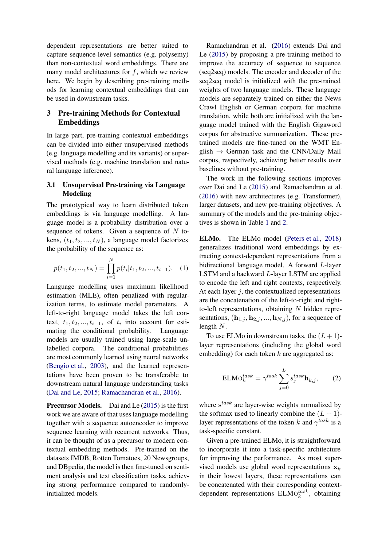dependent representations are better suited to capture sequence-level semantics (e.g. polysemy) than non-contextual word embeddings. There are many model architectures for  $f$ , which we review here. We begin by describing pre-training methods for learning contextual embeddings that can be used in downstream tasks.

# <span id="page-1-0"></span>3 Pre-training Methods for Contextual Embeddings

In large part, pre-training contextual embeddings can be divided into either unsupervised methods (e.g. language modelling and its variants) or supervised methods (e.g. machine translation and natural language inference).

# 3.1 Unsupervised Pre-training via Language Modeling

The prototypical way to learn distributed token embeddings is via language modelling. A language model is a probability distribution over a sequence of tokens. Given a sequence of  $N$  tokens,  $(t_1, t_2, ..., t_N)$ , a language model factorizes the probability of the sequence as:

$$
p(t_1, t_2, ..., t_N) = \prod_{i=1}^{N} p(t_i | t_1, t_2, ..., t_{i-1}).
$$
 (1)

Language modelling uses maximum likelihood estimation (MLE), often penalized with regularization terms, to estimate model parameters. A left-to-right language model takes the left context,  $t_1, t_2, \ldots, t_{i-1}$ , of  $t_i$  into account for estimating the conditional probability. Language models are usually trained using large-scale unlabelled corpora. The conditional probabilities are most commonly learned using neural networks [\(Bengio et al.,](#page-9-0) [2003\)](#page-9-0), and the learned representations have been proven to be transferable to downstream natural language understanding tasks [\(Dai and Le,](#page-10-4) [2015;](#page-10-4) [Ramachandran et al.](#page-11-5), [2016](#page-11-5)).

Precursor Models. Dai and Le [\(2015\)](#page-10-4) is the first work we are aware of that uses language modelling together with a sequence autoencoder to improve sequence learning with recurrent networks. Thus, it can be thought of as a precursor to modern contextual embedding methods. Pre-trained on the datasets IMDB, Rotten Tomatoes, 20 Newsgroups, and DBpedia, the model is then fine-tuned on sentiment analysis and text classification tasks, achieving strong performance compared to randomlyinitialized models.

Ramachandran et al. [\(2016](#page-11-5)) extends Dai and Le [\(2015\)](#page-10-4) by proposing a pre-training method to improve the accuracy of sequence to sequence (seq2seq) models. The encoder and decoder of the seq2seq model is initialized with the pre-trained weights of two language models. These language models are separately trained on either the News Crawl English or German corpora for machine translation, while both are initialized with the language model trained with the English Gigaword corpus for abstractive summarization. These pretrained models are fine-tuned on the WMT English  $\rightarrow$  German task and the CNN/Daily Mail corpus, respectively, achieving better results over baselines without pre-training.

The work in the following sections improves over Dai and Le [\(2015](#page-10-4)) and Ramachandran et al. [\(2016](#page-11-5)) with new architectures (e.g. Transformer), larger datasets, and new pre-training objectives. A summary of the models and the pre-training objectives is shown in Table [1](#page-2-0) and [2.](#page-2-1)

ELMo. The ELMo model [\(Peters et al.](#page-11-2), [2018](#page-11-2)) generalizes traditional word embeddings by extracting context-dependent representations from a bidirectional language model. A forward L-layer LSTM and a backward L-layer LSTM are applied to encode the left and right contexts, respectively. At each layer  $j$ , the contextualized representations are the concatenation of the left-to-right and rightto-left representations, obtaining  $N$  hidden representations,  $(\mathbf{h}_{1,i}, \mathbf{h}_{2,i}, ..., \mathbf{h}_{N,i})$ , for a sequence of length N.

To use ELMo in downstream tasks, the  $(L + 1)$ layer representations (including the global word embedding) for each token  $k$  are aggregated as:

<span id="page-1-1"></span>
$$
ELMOktask = \gammatask \sum_{j=0}^{L} sjtask \mathbf{h}_{k,j},
$$
 (2)

where  $s^{task}$  are layer-wise weights normalized by the softmax used to linearly combine the  $(L + 1)$ layer representations of the token k and  $\gamma^{task}$  is a task-specific constant.

Given a pre-trained ELMo, it is straightforward to incorporate it into a task-specific architecture for improving the performance. As most supervised models use global word representations  $x_k$ in their lowest layers, these representations can be concatenated with their corresponding contextdependent representations  $\text{ELMo}_{k}^{task}$ , obtaining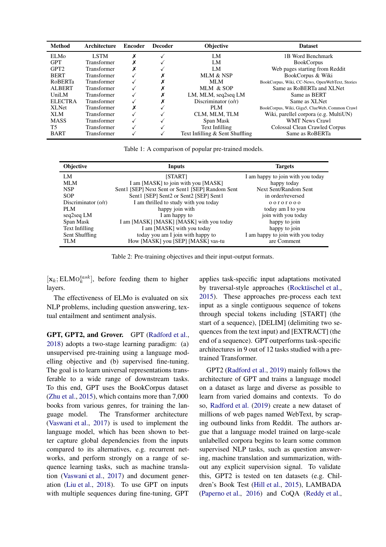<span id="page-2-0"></span>

| Method            | Architecture       | <b>Encoder</b> | <b>Decoder</b> | <b>Objective</b>                | <b>Dataset</b>                                  |
|-------------------|--------------------|----------------|----------------|---------------------------------|-------------------------------------------------|
| ELM <sub>0</sub>  | <b>LSTM</b>        |                |                | LM                              | 1B Word Benchmark                               |
| <b>GPT</b>        | Transformer        |                |                | LM                              | <b>BookCorpus</b>                               |
| GPT <sub>2</sub>  | Transformer        |                |                | LM                              | Web pages starting from Reddit                  |
| <b>BERT</b>       | Transformer        |                |                | MLM & NSP                       | BookCorpus & Wiki                               |
| <b>RoBERTa</b>    | <b>Transformer</b> |                |                | MLM                             | BookCorpus, Wiki, CC-News, OpenWebText, Stories |
| <b>ALBERT</b>     | Transformer        |                |                | MLM & SOP                       | Same as RoBERTa and XLNet                       |
| UniLM             | <b>Transformer</b> |                |                | LM, MLM, seq2seq LM             | Same as BERT                                    |
| <b>ELECTRA</b>    | Transformer        |                |                | Discriminator $(o/r)$           | Same as XLNet                                   |
| XL <sub>Net</sub> | <b>Transformer</b> |                |                | PLM                             | BookCorpus, Wiki, Giga5, ClueWeb, Common Crawl  |
| XLM               | Transformer        |                |                | CLM. MLM. TLM                   | Wiki, parellel corpora (e.g. MultiUN)           |
| <b>MASS</b>       | <b>Transformer</b> |                |                | Span Mask                       | <b>WMT News Crawl</b>                           |
| T5                | Transformer        |                |                | Text Infilling                  | Colossal Clean Crawled Corpus                   |
| <b>BART</b>       | Transformer        |                |                | Text Infilling & Sent Shuffling | Same as RoBERTa                                 |

Table 1: A comparison of popular pre-trained models.

<span id="page-2-1"></span>

| <b>Objective</b>      | Inputs                                           | <b>Targets</b>                    |
|-----------------------|--------------------------------------------------|-----------------------------------|
| LM                    | [START]                                          | I am happy to join with you today |
| MLM                   | I am [MASK] to join with you [MASK]              | happy today                       |
| <b>NSP</b>            | Sent1 [SEP] Next Sent or Sent1 [SEP] Random Sent | Next Sent/Random Sent             |
| <b>SOP</b>            | Sent1 [SEP] Sent2 or Sent2 [SEP] Sent1           | in order/reversed                 |
| Discriminator $(o/r)$ | I am thrilled to study with you today            | 00000000                          |
| PLM                   | happy join with                                  | today am I to you                 |
| seq2seq LM            | I am happy to                                    | join with you today               |
| Span Mask             | I am [MASK] [MASK] [MASK] with you today         | happy to join                     |
| Text Infilling        | I am [MASK] with you today                       | happy to join                     |
| Sent Shuffling        | today you am I join with happy to                | I am happy to join with you today |
| <b>TLM</b>            | How [MASK] you [SEP] [MASK] vas-tu               | are Comment                       |

Table 2: Pre-training objectives and their input-output formats.

 $[\mathbf{x}_k; \text{ELMO}_k^{task}]$ , before feeding them to higher layers.

The effectiveness of ELMo is evaluated on six NLP problems, including question answering, textual entailment and sentiment analysis.

GPT, GPT2, and Grover. GPT [\(Radford et al.,](#page-11-6) [2018\)](#page-11-6) adopts a two-stage learning paradigm: (a) unsupervised pre-training using a language modelling objective and (b) supervised fine-tuning. The goal is to learn universal representations transferable to a wide range of downstream tasks. To this end, GPT uses the BookCorpus dataset [\(Zhu et al.,](#page-12-3) [2015](#page-12-3)), which contains more than 7,000 books from various genres, for training the language model. The Transformer architecture [\(Vaswani et al.](#page-12-4), [2017](#page-12-4)) is used to implement the language model, which has been shown to better capture global dependencies from the inputs compared to its alternatives, e.g. recurrent networks, and perform strongly on a range of sequence learning tasks, such as machine translation [\(Vaswani et al.](#page-12-4), [2017](#page-12-4)) and document generation [\(Liu et al.](#page-11-7), [2018\)](#page-11-7). To use GPT on inputs with multiple sequences during fine-tuning, GPT applies task-specific input adaptations motivated by traversal-style approaches (Rocktäschel et al., [2015](#page-11-8)). These approaches pre-process each text input as a single contiguous sequence of tokens through special tokens including [START] (the start of a sequence), [DELIM] (delimiting two sequences from the text input) and [EXTRACT] (the end of a sequence). GPT outperforms task-specific architectures in 9 out of 12 tasks studied with a pretrained Transformer.

GPT2 [\(Radford et al.](#page-11-9), [2019](#page-11-9)) mainly follows the architecture of GPT and trains a language model on a dataset as large and diverse as possible to learn from varied domains and contexts. To do so, [Radford et al.](#page-11-9) [\(2019](#page-11-9)) create a new dataset of millions of web pages named WebText, by scraping outbound links from Reddit. The authors argue that a language model trained on large-scale unlabelled corpora begins to learn some common supervised NLP tasks, such as question answering, machine translation and summarization, without any explicit supervision signal. To validate this, GPT2 is tested on ten datasets (e.g. Children's Book Test [\(Hill et al.](#page-10-5), [2015\)](#page-10-5), LAMBADA [\(Paperno et al.](#page-11-10), [2016](#page-11-10)) and CoQA [\(Reddy et al.](#page-11-11),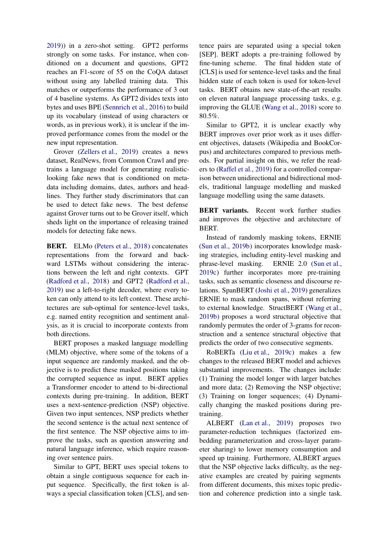[2019\)](#page-11-11)) in a zero-shot setting. GPT2 performs strongly on some tasks. For instance, when conditioned on a document and questions, GPT2 reaches an F1-score of 55 on the CoQA dataset without using any labelled training data. This matches or outperforms the performance of 3 out of 4 baseline systems. As GPT2 divides texts into bytes and uses BPE [\(Sennrich et al.,](#page-11-12) [2016](#page-11-12)) to build up its vocabulary (instead of using characters or words, as in previous work), it is unclear if the improved performance comes from the model or the new input representation.

Grover [\(Zellers et al.](#page-12-5), [2019](#page-12-5)) creates a news dataset, RealNews, from Common Crawl and pretrains a language model for generating realisticlooking fake news that is conditioned on metadata including domains, dates, authors and headlines. They further study discriminators that can be used to detect fake news. The best defense against Grover turns out to be Grover itself, which sheds light on the importance of releasing trained models for detecting fake news.

BERT. ELMo [\(Peters et al.,](#page-11-2) [2018](#page-11-2)) concatenates representations from the forward and backward LSTMs without considering the interactions between the left and right contexts. GPT [\(Radford et al.](#page-11-6), [2018](#page-11-6)) and GPT2 [\(Radford et al.,](#page-11-9) [2019\)](#page-11-9) use a left-to-right decoder, where every token can only attend to its left context. These architectures are sub-optimal for sentence-level tasks, e.g. named entity recognition and sentiment analysis, as it is crucial to incorporate contexts from both directions.

BERT proposes a masked language modelling (MLM) objective, where some of the tokens of a input sequence are randomly masked, and the objective is to predict these masked positions taking the corrupted sequence as input. BERT applies a Transformer encoder to attend to bi-directional contexts during pre-training. In addition, BERT uses a next-sentence-prediction (NSP) objective. Given two input sentences, NSP predicts whether the second sentence is the actual next sentence of the first sentence. The NSP objective aims to improve the tasks, such as question answering and natural language inference, which require reasoning over sentence pairs.

Similar to GPT, BERT uses special tokens to obtain a single contiguous sequence for each input sequence. Specifically, the first token is always a special classification token [CLS], and sentence pairs are separated using a special token [SEP]. BERT adopts a pre-training followed by fine-tuning scheme. The final hidden state of [CLS] is used for sentence-level tasks and the final hidden state of each token is used for token-level tasks. BERT obtains new state-of-the-art results on eleven natural language processing tasks, e.g. improving the GLUE [\(Wang et al.,](#page-12-6) [2018](#page-12-6)) score to 80.5%.

Similar to GPT2, it is unclear exactly why BERT improves over prior work as it uses different objectives, datasets (Wikipedia and BookCorpus) and architectures compared to previous methods. For partial insight on this, we refer the readers to [\(Raffel et al.](#page-11-3), [2019](#page-11-3)) for a controlled comparison between unidirectional and bidirectional models, traditional language modelling and masked language modelling using the same datasets.

BERT variants. Recent work further studies and improves the objective and architecture of BERT.

Instead of randomly masking tokens, ERNIE [\(Sun et al.](#page-12-7), [2019b\)](#page-12-7) incorporates knowledge masking strategies, including entity-level masking and phrase-level masking. ERNIE 2.0 [\(Sun et al.](#page-12-8), [2019c\)](#page-12-8) further incorporates more pre-training tasks, such as semantic closeness and discourse relations. SpanBERT [\(Joshi et al.,](#page-10-6) [2019](#page-10-6)) generalizes ERNIE to mask random spans, without referring to external knowledge. StructBERT [\(Wang et al.](#page-12-9), [2019b](#page-12-9)) proposes a word structural objective that randomly permutes the order of 3-grams for reconstruction and a sentence structural objective that predicts the order of two consecutive segments.

RoBERTa [\(Liu et al.,](#page-11-13) [2019c](#page-11-13)) makes a few changes to the released BERT model and achieves substantial improvements. The changes include: (1) Training the model longer with larger batches and more data; (2) Removing the NSP objective; (3) Training on longer sequences; (4) Dynamically changing the masked positions during pretraining.

ALBERT [\(Lan et al.](#page-10-7), [2019\)](#page-10-7) proposes two parameter-reduction techniques (factorized embedding parameterization and cross-layer parameter sharing) to lower memory consumption and speed up training. Furthermore, ALBERT argues that the NSP objective lacks difficulty, as the negative examples are created by pairing segments from different documents, this mixes topic prediction and coherence prediction into a single task.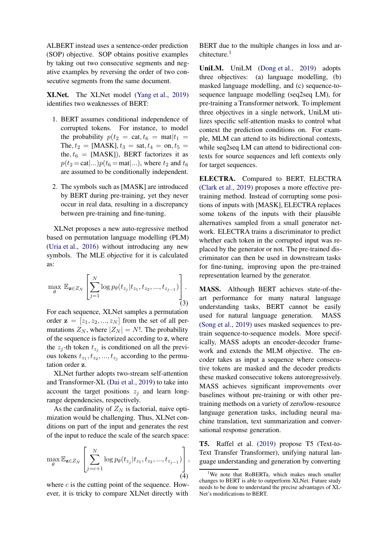ALBERT instead uses a sentence-order prediction (SOP) objective. SOP obtains positive examples by taking out two consecutive segments and negative examples by reversing the order of two consecutive segments from the same document.

XLNet. The XLNet model [\(Yang et al.,](#page-12-1) [2019](#page-12-1)) identifies two weaknesses of BERT:

- 1. BERT assumes conditional independence of corrupted tokens. For instance, to model the probability  $p(t_2 = \text{cat}, t_6 = \text{mat}|t_1 =$ The,  $t_2 =$  [MASK],  $t_3 =$  sat,  $t_4 =$  on,  $t_5 =$ the,  $t_6$  = [MASK]), BERT factorizes it as  $p(t_2 = \text{cat}|...)p(t_6 = \text{mat}|...),$  where  $t_2$  and  $t_6$ are assumed to be conditionally independent.
- 2. The symbols such as [MASK] are introduced by BERT during pre-training, yet they never occur in real data, resulting in a discrepancy between pre-training and fine-tuning.

XLNet proposes a new auto-regressive method based on permutation language modelling (PLM) [\(Uria et al.,](#page-12-10) [2016](#page-12-10)) without introducing any new symbols. The MLE objective for it is calculated as:

$$
\max_{\theta} \mathbb{E}_{\mathbf{z} \in Z_N} \left[ \sum_{j=1}^N \log p_{\theta}(t_{z_j} | t_{z_1}, t_{z_2}, ..., t_{z_{j-1}}) \right].
$$
\n(3)

For each sequence, XLNet samples a permutation order  $z = [z_1, z_2, ..., z_N]$  from the set of all permutations  $Z_N$ , where  $|Z_N| = N!$ . The probability of the sequence is factorized according to z, where the  $z_j$ -th token  $t_{z_j}$  is conditioned on all the previous tokens  $t_{z_1}, t_{z_2}, ..., t_{z_j}$  according to the permutation order z.

XLNet further adopts two-stream self-attention and Transformer-XL [\(Dai et al.](#page-10-8), [2019](#page-10-8)) to take into account the target positions  $z_i$  and learn longrange dependencies, respectively.

As the cardinality of  $Z_N$  is factorial, naive optimization would be challenging. Thus, XLNet conditions on part of the input and generates the rest of the input to reduce the scale of the search space:

$$
\max_{\theta} \mathbb{E}_{\mathbf{z} \in Z_N} \left[ \sum_{j=c+1}^N \log p_{\theta}(t_{z_j} | t_{z_1}, t_{z_2}, ..., t_{z_{j-1}}) \right],
$$
\n(4)

where  $c$  is the cutting point of the sequence. However, it is tricky to compare XLNet directly with

BERT due to the multiple changes in loss and ar-chitecture.<sup>[1](#page-4-0)</sup>

UniLM. UniLM [\(Dong et al.,](#page-10-9) [2019\)](#page-10-9) adopts three objectives: (a) language modelling, (b) masked language modelling, and (c) sequence-tosequence language modelling (seq2seq LM), for pre-training a Transformer network. To implement three objectives in a single network, UniLM utilizes specific self-attention masks to control what context the prediction conditions on. For example, MLM can attend to its bidirectional contexts, while seq2seq LM can attend to bidirectional contexts for source sequences and left contexts only for target sequences.

ELECTRA. Compared to BERT, ELECTRA [\(Clark et al.,](#page-9-1) [2019](#page-9-1)) proposes a more effective pretraining method. Instead of corrupting some positions of inputs with [MASK], ELECTRA replaces some tokens of the inputs with their plausible alternatives sampled from a small generator network. ELECTRA trains a discriminator to predict whether each token in the corrupted input was replaced by the generator or not. The pre-trained discriminator can then be used in downstream tasks for fine-tuning, improving upon the pre-trained representation learned by the generator.

MASS. Although BERT achieves state-of-theart performance for many natural language understanding tasks, BERT cannot be easily used for natural language generation. MASS [\(Song et al.,](#page-11-14) [2019\)](#page-11-14) uses masked sequences to pretrain sequence-to-sequence models. More specifically, MASS adopts an encoder-decoder framework and extends the MLM objective. The encoder takes as input a sequence where consecutive tokens are masked and the decoder predicts these masked consecutive tokens autoregressively. MASS achieves significant improvements over baselines without pre-training or with other pretraining methods on a variety of zero/low-resource language generation tasks, including neural machine translation, text summarization and conversational response generation.

T5. Raffel et al. [\(2019](#page-11-3)) propose T5 (Text-to-Text Transfer Transformer), unifying natural language understanding and generation by converting

<span id="page-4-0"></span><sup>&</sup>lt;sup>1</sup>We note that RoBERTa, which makes much smaller changes to BERT is able to outperform XLNet. Future study needs to be done to understand the precise advantages of XL-Net's modifications to BERT.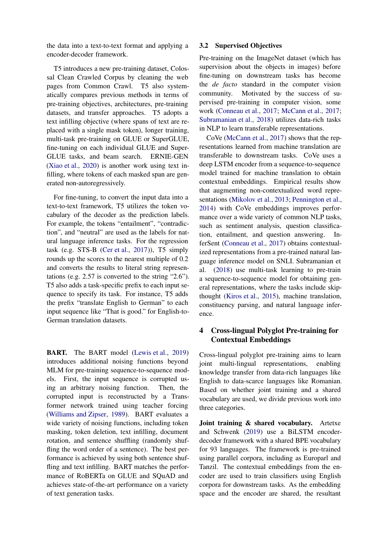the data into a text-to-text format and applying a encoder-decoder framework.

T5 introduces a new pre-training dataset, Colossal Clean Crawled Corpus by cleaning the web pages from Common Crawl. T5 also systematically compares previous methods in terms of pre-training objectives, architectures, pre-training datasets, and transfer approaches. T5 adopts a text infilling objective (where spans of text are replaced with a single mask token), longer training, multi-task pre-training on GLUE or SuperGLUE, fine-tuning on each individual GLUE and Super-GLUE tasks, and beam search. ERNIE-GEN [\(Xiao et al.](#page-12-11), [2020](#page-12-11)) is another work using text infilling, where tokens of each masked span are generated non-autoregressively.

For fine-tuning, to convert the input data into a text-to-text framework, T5 utilizes the token vocabulary of the decoder as the prediction labels. For example, the tokens "entailment", "contradiction", and "neutral" are used as the labels for natural language inference tasks. For the regression task (e.g. STS-B [\(Cer et al.,](#page-9-2) [2017](#page-9-2))), T5 simply rounds up the scores to the nearest multiple of 0.2 and converts the results to literal string representations (e.g. 2.57 is converted to the string "2.6"). T5 also adds a task-specific prefix to each input sequence to specify its task. For instance, T5 adds the prefix "translate English to German" to each input sequence like "That is good." for English-to-German translation datasets.

**BART.** The BART model [\(Lewis et al.](#page-11-15), [2019](#page-11-15)) introduces additional noising functions beyond MLM for pre-training sequence-to-sequence models. First, the input sequence is corrupted using an arbitrary noising function. Then, the corrupted input is reconstructed by a Transformer network trained using teacher forcing [\(Williams and Zipser,](#page-12-12) [1989\)](#page-12-12). BART evaluates a wide variety of noising functions, including token masking, token deletion, text infilling, document rotation, and sentence shuffling (randomly shuffling the word order of a sentence). The best performance is achieved by using both sentence shuffling and text infilling. BART matches the performance of RoBERTa on GLUE and SQuAD and achieves state-of-the-art performance on a variety of text generation tasks.

### 3.2 Supervised Objectives

Pre-training on the ImageNet dataset (which has supervision about the objects in images) before fine-tuning on downstream tasks has become the *de facto* standard in the computer vision community. Motivated by the success of supervised pre-training in computer vision, some work [\(Conneau et al.](#page-9-3), [2017](#page-9-3); [McCann et al.](#page-11-16), [2017](#page-11-16); [Subramanian et al.,](#page-12-13) [2018](#page-12-13)) utilizes data-rich tasks in NLP to learn transferable representations.

CoVe [\(McCann et al.](#page-11-16), [2017\)](#page-11-16) shows that the representations learned from machine translation are transferable to downstream tasks. CoVe uses a deep LSTM encoder from a sequence-to-sequence model trained for machine translation to obtain contextual embeddings. Empirical results show that augmenting non-contextualized word representations [\(Mikolov et al.](#page-11-0), [2013](#page-11-0); [Pennington et al.](#page-11-1), [2014](#page-11-1)) with CoVe embeddings improves performance over a wide variety of common NLP tasks, such as sentiment analysis, question classification, entailment, and question answering. InferSent [\(Conneau et al.](#page-9-3), [2017](#page-9-3)) obtains contextualized representations from a pre-trained natural language inference model on SNLI. Subramanian et al. [\(2018](#page-12-13)) use multi-task learning to pre-train a sequence-to-sequence model for obtaining general representations, where the tasks include skipthought [\(Kiros et al.,](#page-10-10) [2015\)](#page-10-10), machine translation, constituency parsing, and natural language inference.

# <span id="page-5-0"></span>4 Cross-lingual Polyglot Pre-training for Contextual Embeddings

Cross-lingual polyglot pre-training aims to learn joint multi-lingual representations, enabling knowledge transfer from data-rich languages like English to data-scarce languages like Romanian. Based on whether joint training and a shared vocabulary are used, we divide previous work into three categories.

Joint training & shared vocabulary. Artetxe and Schwenk [\(2019](#page-9-4)) use a BiLSTM encoderdecoder framework with a shared BPE vocabulary for 93 languages. The framework is pre-trained using parallel corpora, including as Europarl and Tanzil. The contextual embeddings from the encoder are used to train classifiers using English corpora for downstream tasks. As the embedding space and the encoder are shared, the resultant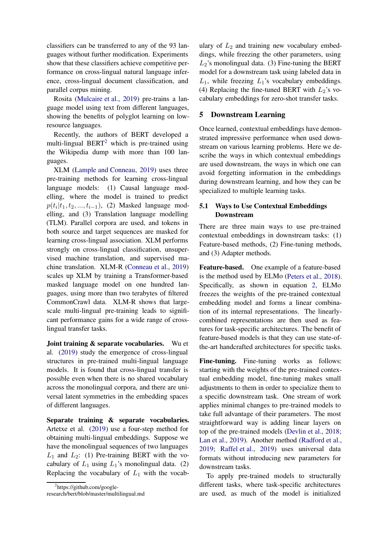classifiers can be transferred to any of the 93 languages without further modification. Experiments show that these classifiers achieve competitive performance on cross-lingual natural language inference, cross-lingual document classification, and parallel corpus mining.

Rosita [\(Mulcaire et al.](#page-11-17), [2019](#page-11-17)) pre-trains a language model using text from different languages, showing the benefits of polyglot learning on lowresource languages.

Recently, the authors of BERT developed a multi-lingual  $BERT<sup>2</sup>$  $BERT<sup>2</sup>$  $BERT<sup>2</sup>$  which is pre-trained using the Wikipedia dump with more than 100 languages.

XLM [\(Lample and Conneau](#page-10-11), [2019](#page-10-11)) uses three pre-training methods for learning cross-lingual language models: (1) Causal language modelling, where the model is trained to predict  $p(t_i|t_1, t_2, ..., t_{i-1})$ , (2) Masked language modelling, and (3) Translation language modelling (TLM). Parallel corpora are used, and tokens in both source and target sequences are masked for learning cross-lingual association. XLM performs strongly on cross-lingual classification, unsupervised machine translation, and supervised machine translation. XLM-R [\(Conneau et al.](#page-9-5), [2019](#page-9-5)) scales up XLM by training a Transformer-based masked language model on one hundred languages, using more than two terabytes of filtered CommonCrawl data. XLM-R shows that largescale multi-lingual pre-training leads to significant performance gains for a wide range of crosslingual transfer tasks.

Joint training & separate vocabularies. Wu et al. [\(2019\)](#page-12-14) study the emergence of cross-lingual structures in pre-trained multi-lingual language models. It is found that cross-lingual transfer is possible even when there is no shared vocabulary across the monolingual corpora, and there are universal latent symmetries in the embedding spaces of different languages.

Separate training & separate vocabularies. Artetxe et al. [\(2019](#page-9-6)) use a four-step method for obtaining multi-lingual embeddings. Suppose we have the monolingual sequences of two languages  $L_1$  and  $L_2$ : (1) Pre-training BERT with the vocabulary of  $L_1$  using  $L_1$ 's monolingual data. (2) Replacing the vocabulary of  $L_1$  with the vocab-

ulary of  $L_2$  and training new vocabulary embeddings, while freezing the other parameters, using  $L_2$ 's monolingual data. (3) Fine-tuning the BERT model for a downstream task using labeled data in  $L_1$ , while freezing  $L_1$ 's vocabulary embeddings. (4) Replacing the fine-tuned BERT with  $L_2$ 's vocabulary embeddings for zero-shot transfer tasks.

### <span id="page-6-0"></span>5 Downstream Learning

Once learned, contextual embeddings have demonstrated impressive performance when used downstream on various learning problems. Here we describe the ways in which contextual embeddings are used downstream, the ways in which one can avoid forgetting information in the embeddings during downstream learning, and how they can be specialized to multiple learning tasks.

# 5.1 Ways to Use Contextual Embeddings Downstream

There are three main ways to use pre-trained contextual embeddings in downstream tasks: (1) Feature-based methods, (2) Fine-tuning methods, and (3) Adapter methods.

Feature-based. One example of a feature-based is the method used by ELMo [\(Peters et al.](#page-11-2), [2018](#page-11-2)). Specifically, as shown in equation [2,](#page-1-1) ELMo freezes the weights of the pre-trained contextual embedding model and forms a linear combination of its internal representations. The linearlycombined representations are then used as features for task-specific architectures. The benefit of feature-based models is that they can use state-ofthe-art handcrafted architectures for specific tasks.

Fine-tuning. Fine-tuning works as follows: starting with the weights of the pre-trained contextual embedding model, fine-tuning makes small adjustments to them in order to specialize them to a specific downstream task. One stream of work applies minimal changes to pre-trained models to take full advantage of their parameters. The most straightforward way is adding linear layers on top of the pre-trained models [\(Devlin et al.,](#page-10-0) [2018](#page-10-0); [Lan et al.](#page-10-7), [2019](#page-10-7)). Another method [\(Radford et al.](#page-11-9), [2019](#page-11-9); [Raffel et al.,](#page-11-3) [2019\)](#page-11-3) uses universal data formats without introducing new parameters for downstream tasks.

To apply pre-trained models to structurally different tasks, where task-specific architectures are used, as much of the model is initialized

<span id="page-6-1"></span><sup>&</sup>lt;sup>2</sup>https://github.com/google-

research/bert/blob/master/multilingual.md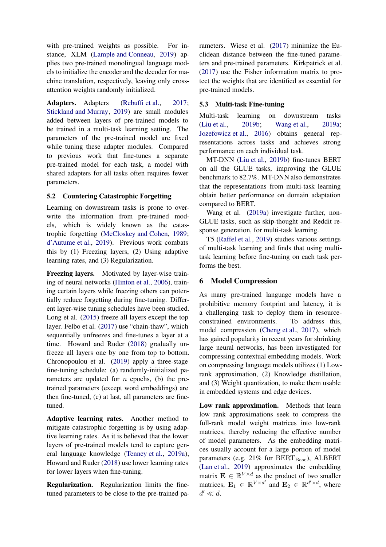with pre-trained weights as possible. For instance, XLM [\(Lample and Conneau](#page-10-11), [2019](#page-10-11)) applies two pre-trained monolingual language models to initialize the encoder and the decoder for machine translation, respectively, leaving only crossattention weights randomly initialized.

Adapters. Adapters [\(Rebuffi et al.,](#page-11-18) [2017](#page-11-18); [Stickland and Murray](#page-12-15), [2019\)](#page-12-15) are small modules added between layers of pre-trained models to be trained in a multi-task learning setting. The parameters of the pre-trained model are fixed while tuning these adapter modules. Compared to previous work that fine-tunes a separate pre-trained model for each task, a model with shared adapters for all tasks often requires fewer parameters.

# 5.2 Countering Catastrophic Forgetting

Learning on downstream tasks is prone to overwrite the information from pre-trained models, which is widely known as the catastrophic forgetting [\(McCloskey and Cohen,](#page-11-19) [1989](#page-11-19); [d'Autume et al.](#page-10-12), [2019](#page-10-12)). Previous work combats this by (1) Freezing layers, (2) Using adaptive learning rates, and (3) Regularization.

Freezing layers. Motivated by layer-wise training of neural networks [\(Hinton et al.,](#page-10-13) [2006](#page-10-13)), training certain layers while freezing others can potentially reduce forgetting during fine-tuning. Different layer-wise tuning schedules have been studied. Long et al. [\(2015](#page-11-20)) freeze all layers except the top layer. Felbo et al. [\(2017\)](#page-10-14) use "chain-thaw", which sequentially unfreezes and fine-tunes a layer at a time. Howard and Ruder [\(2018](#page-10-15)) gradually unfreeze all layers one by one from top to bottom. Chronopoulou et al. [\(2019](#page-9-7)) apply a three-stage fine-tuning schedule: (a) randomly-initialized parameters are updated for  $n$  epochs, (b) the pretrained parameters (except word embeddings) are then fine-tuned, (c) at last, all parameters are finetuned.

Adaptive learning rates. Another method to mitigate catastrophic forgetting is by using adaptive learning rates. As it is believed that the lower layers of pre-trained models tend to capture general language knowledge [\(Tenney et al.,](#page-12-2) [2019a](#page-12-2)), Howard and Ruder [\(2018](#page-10-15)) use lower learning rates for lower layers when fine-tuning.

Regularization. Regularization limits the finetuned parameters to be close to the pre-trained pa-

rameters. Wiese et al. [\(2017](#page-12-16)) minimize the Euclidean distance between the fine-tuned parameters and pre-trained parameters. Kirkpatrick et al. [\(2017](#page-10-16)) use the Fisher information matrix to protect the weights that are identified as essential for pre-trained models.

# 5.3 Multi-task Fine-tuning

Multi-task learning on downstream tasks [\(Liu et al.,](#page-11-21) [2019b](#page-11-21); [Wang et al.](#page-12-17), [2019a](#page-12-17); [Jozefowicz et al.,](#page-10-17) [2016\)](#page-10-17) obtains general representations across tasks and achieves strong performance on each individual task.

MT-DNN [\(Liu et al.](#page-11-21), [2019b](#page-11-21)) fine-tunes BERT on all the GLUE tasks, improving the GLUE benchmark to 82.7%. MT-DNN also demonstrates that the representations from multi-task learning obtain better performance on domain adaptation compared to BERT.

Wang et al. [\(2019a](#page-12-17)) investigate further, non-GLUE tasks, such as skip-thought and Reddit response generation, for multi-task learning.

T5 [\(Raffel et al.](#page-11-3), [2019](#page-11-3)) studies various settings of multi-task learning and finds that using multitask learning before fine-tuning on each task performs the best.

# <span id="page-7-0"></span>6 Model Compression

As many pre-trained language models have a prohibitive memory footprint and latency, it is a challenging task to deploy them in resourceconstrained environments. To address this, model compression [\(Cheng et al.](#page-9-8), [2017](#page-9-8)), which has gained popularity in recent years for shrinking large neural networks, has been investigated for compressing contextual embedding models. Work on compressing language models utilizes (1) Lowrank approximation, (2) Knowledge distillation, and (3) Weight quantization, to make them usable in embedded systems and edge devices.

Low rank approximation. Methods that learn low rank approximations seek to compress the full-rank model weight matrices into low-rank matrices, thereby reducing the effective number of model parameters. As the embedding matrices usually account for a large portion of model parameters (e.g.  $21\%$  for  $BERT_{Base}$ ), ALBERT [\(Lan et al.](#page-10-7), [2019](#page-10-7)) approximates the embedding matrix  $\mathbf{E} \in \mathbb{R}^{V \times d}$  as the product of two smaller matrices,  $\mathbf{E}_1 \in \mathbb{R}^{V \times d'}$  and  $\mathbf{E}_2 \in \mathbb{R}^{d' \times d}$ , where  $d' \ll d$ .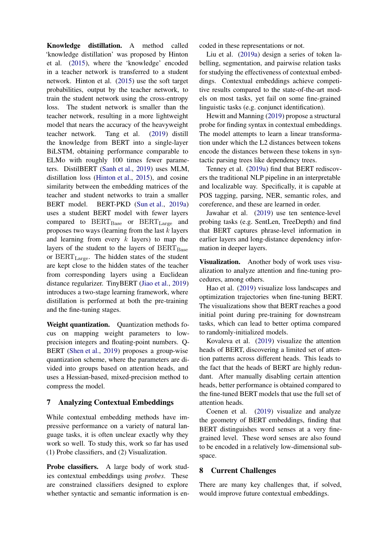Knowledge distillation. A method called 'knowledge distillation' was proposed by Hinton et al. [\(2015](#page-10-18)), where the 'knowledge' encoded in a teacher network is transferred to a student network. Hinton et al. [\(2015](#page-10-18)) use the soft target probabilities, output by the teacher network, to train the student network using the cross-entropy loss. The student network is smaller than the teacher network, resulting in a more lightweight model that nears the accuracy of the heavyweight teacher network. Tang et al. [\(2019](#page-12-18)) distill the knowledge from BERT into a single-layer BiLSTM, obtaining performance comparable to ELMo with roughly 100 times fewer parameters. DistilBERT [\(Sanh et al.](#page-11-22), [2019](#page-11-22)) uses MLM, distillation loss [\(Hinton et al.](#page-10-18), [2015](#page-10-18)), and cosine similarity between the embedding matrices of the teacher and student networks to train a smaller BERT model. BERT-PKD [\(Sun et al.,](#page-12-19) [2019a](#page-12-19)) uses a student BERT model with fewer layers compared to  $BERT_{Base}$  or  $BERT_{Large}$  and proposes two ways (learning from the last  $k$  layers and learning from every  $k$  layers) to map the layers of the student to the layers of  $BERT_{Base}$ or BERTLarge. The hidden states of the student are kept close to the hidden states of the teacher from corresponding layers using a Euclidean distance regularizer. TinyBERT [\(Jiao et al.,](#page-10-19) [2019](#page-10-19)) introduces a two-stage learning framework, where distillation is performed at both the pre-training and the fine-tuning stages.

Weight quantization. Quantization methods focus on mapping weight parameters to lowprecision integers and floating-point numbers. Q-BERT [\(Shen et al.,](#page-11-23) [2019](#page-11-23)) proposes a group-wise quantization scheme, where the parameters are divided into groups based on attention heads, and uses a Hessian-based, mixed-precision method to compress the model.

# <span id="page-8-0"></span>7 Analyzing Contextual Embeddings

While contextual embedding methods have impressive performance on a variety of natural language tasks, it is often unclear exactly why they work so well. To study this, work so far has used (1) Probe classifiers, and (2) Visualization.

Probe classifiers. A large body of work studies contextual embeddings using *probes*. These are constrained classifiers designed to explore whether syntactic and semantic information is encoded in these representations or not.

Liu et al. [\(2019a](#page-11-4)) design a series of token labelling, segmentation, and pairwise relation tasks for studying the effectiveness of contextual embeddings. Contextual embeddings achieve competitive results compared to the state-of-the-art models on most tasks, yet fail on some fine-grained linguistic tasks (e.g. conjunct identification).

Hewitt and Manning [\(2019\)](#page-10-2) propose a structural probe for finding syntax in contextual embeddings. The model attempts to learn a linear transformation under which the L2 distances between tokens encode the distances between these tokens in syntactic parsing trees like dependency trees.

Tenney et al. [\(2019a\)](#page-12-2) find that BERT rediscovers the traditional NLP pipeline in an interpretable and localizable way. Specifically, it is capable at POS tagging, parsing, NER, semantic roles, and coreference, and these are learned in order.

Jawahar et al. [\(2019](#page-10-20)) use ten sentence-level probing tasks (e.g. SentLen, TreeDepth) and find that BERT captures phrase-level information in earlier layers and long-distance dependency information in deeper layers.

Visualization. Another body of work uses visualization to analyze attention and fine-tuning procedures, among others.

Hao et al. [\(2019\)](#page-10-21) visualize loss landscapes and optimization trajectories when fine-tuning BERT. The visualizations show that BERT reaches a good initial point during pre-training for downstream tasks, which can lead to better optima compared to randomly-initialized models.

Kovaleva et al. [\(2019\)](#page-10-22) visualize the attention heads of BERT, discovering a limited set of attention patterns across different heads. This leads to the fact that the heads of BERT are highly redundant. After manually disabling certain attention heads, better performance is obtained compared to the fine-tuned BERT models that use the full set of attention heads.

Coenen et al. [\(2019](#page-9-9)) visualize and analyze the geometry of BERT embeddings, finding that BERT distinguishes word senses at a very finegrained level. These word senses are also found to be encoded in a relatively low-dimensional subspace.

# <span id="page-8-1"></span>8 Current Challenges

There are many key challenges that, if solved, would improve future contextual embeddings.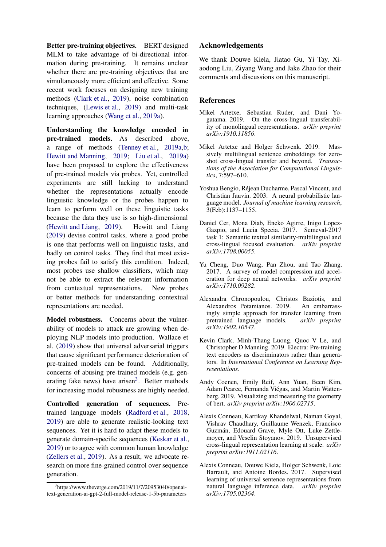Better pre-training objectives. BERT designed MLM to take advantage of bi-directional information during pre-training. It remains unclear whether there are pre-training objectives that are simultaneously more efficient and effective. Some recent work focuses on designing new training methods [\(Clark et al.,](#page-9-1) [2019](#page-9-1)), noise combination techniques, [\(Lewis et al.,](#page-11-15) [2019\)](#page-11-15) and multi-task learning approaches [\(Wang et al.](#page-12-17), [2019a](#page-12-17)).

Understanding the knowledge encoded in pre-trained models. As described above, a range of methods [\(Tenney et al.,](#page-12-2) [2019a](#page-12-2)[,b](#page-12-20); [Hewitt and Manning](#page-10-2), [2019](#page-10-2); [Liu et al.](#page-11-4), [2019a](#page-11-4)) have been proposed to explore the effectiveness of pre-trained models via probes. Yet, controlled experiments are still lacking to understand whether the representations actually encode linguistic knowledge or the probes happen to learn to perform well on these linguistic tasks because the data they use is so high-dimensional [\(Hewitt and Liang](#page-10-1), [2019\)](#page-10-1). Hewitt and Liang [\(2019](#page-10-1)) devise control tasks, where a good probe is one that performs well on linguistic tasks, and badly on control tasks. They find that most existing probes fail to satisfy this condition. Indeed, most probes use shallow classifiers, which may not be able to extract the relevant information from contextual representations. New probes or better methods for understanding contextual representations are needed.

Model robustness. Concerns about the vulnerability of models to attack are growing when deploying NLP models into production. Wallace et al. [\(2019](#page-12-21)) show that universal adversarial triggers that cause significant performance deterioration of pre-trained models can be found. Additionally, concerns of abusing pre-trained models (e.g. gen-erating fake news) have arisen<sup>[3](#page-9-10)</sup>. Better methods for increasing model robustness are highly needed.

Controlled generation of sequences. Pretrained language models [\(Radford et al.](#page-11-6), [2018,](#page-11-6) [2019\)](#page-11-9) are able to generate realistic-looking text sequences. Yet it is hard to adapt these models to generate domain-specific sequences [\(Keskar et al.,](#page-10-23) [2019\)](#page-10-23) or to agree with common human knowledge [\(Zellers et al.](#page-12-5), [2019](#page-12-5)). As a result, we advocate research on more fine-grained control over sequence generation.

# Acknowledgements

We thank Douwe Kiela, Jiatao Gu, Yi Tay, Xiaodong Liu, Ziyang Wang and Jake Zhao for their comments and discussions on this manuscript.

# References

- <span id="page-9-6"></span>Mikel Artetxe, Sebastian Ruder, and Dani Yogatama. 2019. On the cross-lingual transferability of monolingual representations. *arXiv preprint arXiv:1910.11856*.
- <span id="page-9-4"></span>Mikel Artetxe and Holger Schwenk. 2019. Massively multilingual sentence embeddings for zeroshot cross-lingual transfer and beyond. *Transactions of the Association for Computational Linguistics*, 7:597–610.
- <span id="page-9-0"></span>Yoshua Bengio, Réjean Ducharme, Pascal Vincent, and Christian Jauvin. 2003. A neural probabilistic language model. *Journal of machine learning research*, 3(Feb):1137–1155.
- <span id="page-9-2"></span>Daniel Cer, Mona Diab, Eneko Agirre, Inigo Lopez-Gazpio, and Lucia Specia. 2017. Semeval-2017 task 1: Semantic textual similarity-multilingual and cross-lingual focused evaluation. *arXiv preprint arXiv:1708.00055*.
- <span id="page-9-8"></span>Yu Cheng, Duo Wang, Pan Zhou, and Tao Zhang. 2017. A survey of model compression and acceleration for deep neural networks. *arXiv preprint arXiv:1710.09282*.
- <span id="page-9-7"></span>Alexandra Chronopoulou, Christos Baziotis, and Alexandros Potamianos. 2019. An embarrassingly simple approach for transfer learning from pretrained language models. *arXiv preprint arXiv:1902.10547*.
- <span id="page-9-1"></span>Kevin Clark, Minh-Thang Luong, Quoc V Le, and Christopher D Manning. 2019. Electra: Pre-training text encoders as discriminators rather than generators. In *International Conference on Learning Representations*.
- <span id="page-9-9"></span>Andy Coenen, Emily Reif, Ann Yuan, Been Kim, Adam Pearce, Fernanda Viégas, and Martin Wattenberg. 2019. Visualizing and measuring the geometry of bert. *arXiv preprint arXiv:1906.02715*.
- <span id="page-9-5"></span>Alexis Conneau, Kartikay Khandelwal, Naman Goyal, Vishrav Chaudhary, Guillaume Wenzek, Francisco Guzmán, Edouard Grave, Myle Ott, Luke Zettlemoyer, and Veselin Stoyanov. 2019. Unsupervised cross-lingual representation learning at scale. *arXiv preprint arXiv:1911.02116*.
- <span id="page-9-3"></span>Alexis Conneau, Douwe Kiela, Holger Schwenk, Loic Barrault, and Antoine Bordes. 2017. Supervised learning of universal sentence representations from natural language inference data. *arXiv preprint arXiv:1705.02364*.

<span id="page-9-10"></span><sup>3</sup> https://www.theverge.com/2019/11/7/20953040/openaitext-generation-ai-gpt-2-full-model-release-1-5b-parameters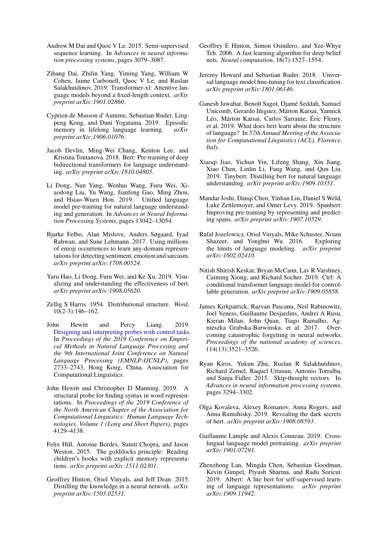- <span id="page-10-4"></span>Andrew M Dai and Quoc V Le. 2015. Semi-supervised sequence learning. In *Advances in neural information processing systems*, pages 3079–3087.
- <span id="page-10-8"></span>Zihang Dai, Zhilin Yang, Yiming Yang, William W Cohen, Jaime Carbonell, Quoc V Le, and Ruslan Salakhutdinov. 2019. Transformer-xl: Attentive language models beyond a fixed-length context. *arXiv preprint arXiv:1901.02860*.
- <span id="page-10-12"></span>Cyprien de Masson d'Autume, Sebastian Ruder, Lingpeng Kong, and Dani Yogatama. 2019. Episodic memory in lifelong language learning. *arXiv preprint arXiv:1906.01076*.
- <span id="page-10-0"></span>Jacob Devlin, Ming-Wei Chang, Kenton Lee, and Kristina Toutanova. 2018. Bert: Pre-training of deep bidirectional transformers for language understanding. *arXiv preprint arXiv:1810.04805*.
- <span id="page-10-9"></span>Li Dong, Nan Yang, Wenhui Wang, Furu Wei, Xiaodong Liu, Yu Wang, Jianfeng Gao, Ming Zhou, and Hsiao-Wuen Hon. 2019. Unified language model pre-training for natural language understanding and generation. In *Advances in Neural Information Processing Systems*, pages 13042–13054.
- <span id="page-10-14"></span>Bjarke Felbo, Alan Mislove, Anders Søgaard, Iyad Rahwan, and Sune Lehmann. 2017. Using millions of emoji occurrences to learn any-domain representations for detecting sentiment, emotion and sarcasm. *arXiv preprint arXiv:1708.00524*.
- <span id="page-10-21"></span>Yaru Hao, Li Dong, Furu Wei, and Ke Xu. 2019. Visualizing and understanding the effectiveness of bert. *arXiv preprint arXiv:1908.05620*.
- <span id="page-10-3"></span>Zellig S Harris. 1954. Distributional structure. *Word*, 10(2-3):146–162.
- <span id="page-10-1"></span>John Hewitt and Percy Liang. 2019. [Designing and interpreting probes with control tasks.](https://doi.org/10.18653/v1/D19-1275) In *Proceedings of the 2019 Conference on Empirical Methods in Natural Language Processing and the 9th International Joint Conference on Natural Language Processing (EMNLP-IJCNLP)*, pages 2733–2743, Hong Kong, China. Association for Computational Linguistics.
- <span id="page-10-2"></span>John Hewitt and Christopher D Manning. 2019. A structural probe for finding syntax in word representations. In *Proceedings of the 2019 Conference of the North American Chapter of the Association for Computational Linguistics: Human Language Technologies, Volume 1 (Long and Short Papers)*, pages 4129–4138.
- <span id="page-10-5"></span>Felix Hill, Antoine Bordes, Sumit Chopra, and Jason Weston. 2015. The goldilocks principle: Reading children's books with explicit memory representations. *arXiv preprint arXiv:1511.02301*.
- <span id="page-10-18"></span>Geoffrey Hinton, Oriol Vinyals, and Jeff Dean. 2015. Distilling the knowledge in a neural network. *arXiv preprint arXiv:1503.02531*.
- <span id="page-10-13"></span>Geoffrey E Hinton, Simon Osindero, and Yee-Whye Teh. 2006. A fast learning algorithm for deep belief nets. *Neural computation*, 18(7):1527–1554.
- <span id="page-10-15"></span>Jeremy Howard and Sebastian Ruder. 2018. Universal language model fine-tuning for text classification. *arXiv preprint arXiv:1801.06146*.
- <span id="page-10-20"></span>Ganesh Jawahar, Benoît Sagot, Djamé Seddah, Samuel Unicomb, Gerardo Iñiguez, Márton Karsai, Yannick Léo, Márton Karsai, Carlos Sarraute, Éric Fleury, et al. 2019. What does bert learn about the structure of language? In *57th Annual Meeting of the Association for Computational Linguistics (ACL), Florence, Italy*.
- <span id="page-10-19"></span>Xiaoqi Jiao, Yichun Yin, Lifeng Shang, Xin Jiang, Xiao Chen, Linlin Li, Fang Wang, and Qun Liu. 2019. Tinybert: Distilling bert for natural language understanding. *arXiv preprint arXiv:1909.10351*.
- <span id="page-10-6"></span>Mandar Joshi, Danqi Chen, Yinhan Liu, Daniel S Weld, Luke Zettlemoyer, and Omer Levy. 2019. Spanbert: Improving pre-training by representing and predicting spans. *arXiv preprint arXiv:1907.10529*.
- <span id="page-10-17"></span>Rafal Jozefowicz, Oriol Vinyals, Mike Schuster, Noam Shazeer, and Yonghui Wu. 2016. Exploring the limits of language modeling. *arXiv preprint arXiv:1602.02410*.
- <span id="page-10-23"></span>Nitish Shirish Keskar, Bryan McCann, Lav R Varshney, Caiming Xiong, and Richard Socher. 2019. Ctrl: A conditional transformer language model for controllable generation. *arXiv preprint arXiv:1909.05858*.
- <span id="page-10-16"></span>James Kirkpatrick, Razvan Pascanu, Neil Rabinowitz, Joel Veness, Guillaume Desjardins, Andrei A Rusu, Kieran Milan, John Quan, Tiago Ramalho, Agnieszka Grabska-Barwinska, et al. 2017. Overcoming catastrophic forgetting in neural networks. *Proceedings of the national academy of sciences*, 114(13):3521–3526.
- <span id="page-10-10"></span>Ryan Kiros, Yukun Zhu, Ruslan R Salakhutdinov, Richard Zemel, Raquel Urtasun, Antonio Torralba, and Sanja Fidler. 2015. Skip-thought vectors. In *Advances in neural information processing systems*, pages 3294–3302.
- <span id="page-10-22"></span>Olga Kovaleva, Alexey Romanov, Anna Rogers, and Anna Rumshisky. 2019. Revealing the dark secrets of bert. *arXiv preprint arXiv:1908.08593*.
- <span id="page-10-11"></span>Guillaume Lample and Alexis Conneau. 2019. Crosslingual language model pretraining. *arXiv preprint arXiv:1901.07291*.
- <span id="page-10-7"></span>Zhenzhong Lan, Mingda Chen, Sebastian Goodman, Kevin Gimpel, Piyush Sharma, and Radu Soricut. 2019. Albert: A lite bert for self-supervised learning of language representations. *arXiv preprint arXiv:1909.11942*.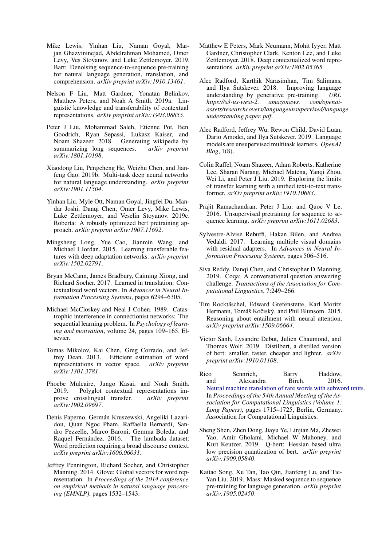- <span id="page-11-15"></span>Mike Lewis, Yinhan Liu, Naman Goyal, Marjan Ghazvininejad, Abdelrahman Mohamed, Omer Levy, Ves Stoyanov, and Luke Zettlemoyer. 2019. Bart: Denoising sequence-to-sequence pre-training for natural language generation, translation, and comprehension. *arXiv preprint arXiv:1910.13461*.
- <span id="page-11-4"></span>Nelson F Liu, Matt Gardner, Yonatan Belinkov, Matthew Peters, and Noah A Smith. 2019a. Linguistic knowledge and transferability of contextual representations. *arXiv preprint arXiv:1903.08855*.
- <span id="page-11-7"></span>Peter J Liu, Mohammad Saleh, Etienne Pot, Ben Goodrich, Ryan Sepassi, Lukasz Kaiser, and Noam Shazeer. 2018. Generating wikipedia by summarizing long sequences. *arXiv preprint arXiv:1801.10198*.
- <span id="page-11-21"></span>Xiaodong Liu, Pengcheng He, Weizhu Chen, and Jianfeng Gao. 2019b. Multi-task deep neural networks for natural language understanding. *arXiv preprint arXiv:1901.11504*.
- <span id="page-11-13"></span>Yinhan Liu, Myle Ott, Naman Goyal, Jingfei Du, Mandar Joshi, Danqi Chen, Omer Levy, Mike Lewis, Luke Zettlemoyer, and Veselin Stoyanov. 2019c. Roberta: A robustly optimized bert pretraining approach. *arXiv preprint arXiv:1907.11692*.
- <span id="page-11-20"></span>Mingsheng Long, Yue Cao, Jianmin Wang, and Michael I Jordan. 2015. Learning transferable features with deep adaptation networks. *arXiv preprint arXiv:1502.02791*.
- <span id="page-11-16"></span>Bryan McCann, James Bradbury, Caiming Xiong, and Richard Socher. 2017. Learned in translation: Contextualized word vectors. In *Advances in Neural Information Processing Systems*, pages 6294–6305.
- <span id="page-11-19"></span>Michael McCloskey and Neal J Cohen. 1989. Catastrophic interference in connectionist networks: The sequential learning problem. In *Psychology of learning and motivation*, volume 24, pages 109–165. Elsevier.
- <span id="page-11-0"></span>Tomas Mikolov, Kai Chen, Greg Corrado, and Jeffrey Dean. 2013. Efficient estimation of word representations in vector space. *arXiv preprint arXiv:1301.3781*.
- <span id="page-11-17"></span>Phoebe Mulcaire, Jungo Kasai, and Noah Smith. 2019. Polyglot contextual representations improve crosslingual transfer. *arXiv preprint arXiv:1902.09697*.
- <span id="page-11-10"></span>Denis Paperno, Germán Kruszewski, Angeliki Lazaridou, Quan Ngoc Pham, Raffaella Bernardi, Sandro Pezzelle, Marco Baroni, Gemma Boleda, and Raquel Fernández. 2016. The lambada dataset: Word prediction requiring a broad discourse context. *arXiv preprint arXiv:1606.06031*.
- <span id="page-11-1"></span>Jeffrey Pennington, Richard Socher, and Christopher Manning. 2014. Glove: Global vectors for word representation. In *Proceedings of the 2014 conference on empirical methods in natural language processing (EMNLP)*, pages 1532–1543.
- <span id="page-11-2"></span>Matthew E Peters, Mark Neumann, Mohit Iyyer, Matt Gardner, Christopher Clark, Kenton Lee, and Luke Zettlemoyer. 2018. Deep contextualized word representations. *arXiv preprint arXiv:1802.05365*.
- <span id="page-11-6"></span>Alec Radford, Karthik Narasimhan, Tim Salimans, and Ilya Sutskever. 2018. Improving language understanding by generative pre-training. *URL https://s3-us-west-2. amazonaws. com/openaiassets/researchcovers/languageunsupervised/language understanding paper. pdf*.
- <span id="page-11-9"></span>Alec Radford, Jeffrey Wu, Rewon Child, David Luan, Dario Amodei, and Ilya Sutskever. 2019. Language models are unsupervised multitask learners. *OpenAI Blog*, 1(8).
- <span id="page-11-3"></span>Colin Raffel, Noam Shazeer, Adam Roberts, Katherine Lee, Sharan Narang, Michael Matena, Yanqi Zhou, Wei Li, and Peter J Liu. 2019. Exploring the limits of transfer learning with a unified text-to-text transformer. *arXiv preprint arXiv:1910.10683*.
- <span id="page-11-5"></span>Prajit Ramachandran, Peter J Liu, and Quoc V Le. 2016. Unsupervised pretraining for sequence to sequence learning. *arXiv preprint arXiv:1611.02683*.
- <span id="page-11-18"></span>Sylvestre-Alvise Rebuffi, Hakan Bilen, and Andrea Vedaldi. 2017. Learning multiple visual domains with residual adapters. In *Advances in Neural Information Processing Systems*, pages 506–516.
- <span id="page-11-11"></span>Siva Reddy, Danqi Chen, and Christopher D Manning. 2019. Coqa: A conversational question answering challenge. *Transactions of the Association for Computational Linguistics*, 7:249–266.
- <span id="page-11-8"></span>Tim Rocktäschel, Edward Grefenstette, Karl Moritz Hermann, Tomáš Kočiskỳ, and Phil Blunsom. 2015. Reasoning about entailment with neural attention. *arXiv preprint arXiv:1509.06664*.
- <span id="page-11-22"></span>Victor Sanh, Lysandre Debut, Julien Chaumond, and Thomas Wolf. 2019. Distilbert, a distilled version of bert: smaller, faster, cheaper and lighter. *arXiv preprint arXiv:1910.01108*.
- <span id="page-11-12"></span>Rico Sennrich, Barry Haddow, and Alexandra Birch. 2016. [Neural machine translation of rare words with subword units.](https://doi.org/10.18653/v1/P16-1162) In *Proceedings of the 54th Annual Meeting of the Association for Computational Linguistics (Volume 1: Long Papers)*, pages 1715–1725, Berlin, Germany. Association for Computational Linguistics.
- <span id="page-11-23"></span>Sheng Shen, Zhen Dong, Jiayu Ye, Linjian Ma, Zhewei Yao, Amir Gholami, Michael W Mahoney, and Kurt Keutzer. 2019. Q-bert: Hessian based ultra low precision quantization of bert. *arXiv preprint arXiv:1909.05840*.
- <span id="page-11-14"></span>Kaitao Song, Xu Tan, Tao Qin, Jianfeng Lu, and Tie-Yan Liu. 2019. Mass: Masked sequence to sequence pre-training for language generation. *arXiv preprint arXiv:1905.02450*.